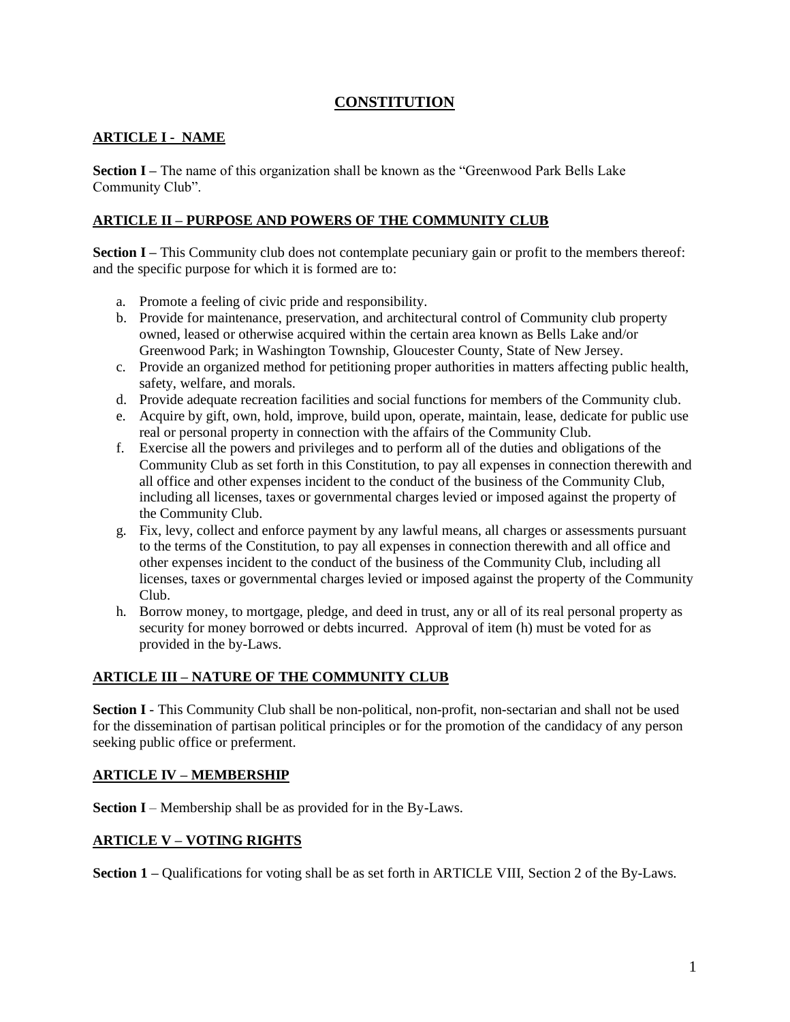# **CONSTITUTION**

## **ARTICLE I - NAME**

**Section I –** The name of this organization shall be known as the "Greenwood Park Bells Lake Community Club".

## **ARTICLE II – PURPOSE AND POWERS OF THE COMMUNITY CLUB**

**Section I** – This Community club does not contemplate pecuniary gain or profit to the members thereof: and the specific purpose for which it is formed are to:

- a. Promote a feeling of civic pride and responsibility.
- b. Provide for maintenance, preservation, and architectural control of Community club property owned, leased or otherwise acquired within the certain area known as Bells Lake and/or Greenwood Park; in Washington Township, Gloucester County, State of New Jersey.
- c. Provide an organized method for petitioning proper authorities in matters affecting public health, safety, welfare, and morals.
- d. Provide adequate recreation facilities and social functions for members of the Community club.
- e. Acquire by gift, own, hold, improve, build upon, operate, maintain, lease, dedicate for public use real or personal property in connection with the affairs of the Community Club.
- f. Exercise all the powers and privileges and to perform all of the duties and obligations of the Community Club as set forth in this Constitution, to pay all expenses in connection therewith and all office and other expenses incident to the conduct of the business of the Community Club, including all licenses, taxes or governmental charges levied or imposed against the property of the Community Club.
- g. Fix, levy, collect and enforce payment by any lawful means, all charges or assessments pursuant to the terms of the Constitution, to pay all expenses in connection therewith and all office and other expenses incident to the conduct of the business of the Community Club, including all licenses, taxes or governmental charges levied or imposed against the property of the Community Club.
- h. Borrow money, to mortgage, pledge, and deed in trust, any or all of its real personal property as security for money borrowed or debts incurred. Approval of item (h) must be voted for as provided in the by-Laws.

# **ARTICLE III – NATURE OF THE COMMUNITY CLUB**

**Section I** - This Community Club shall be non-political, non-profit, non-sectarian and shall not be used for the dissemination of partisan political principles or for the promotion of the candidacy of any person seeking public office or preferment.

### **ARTICLE IV – MEMBERSHIP**

**Section I** – Membership shall be as provided for in the By-Laws.

### **ARTICLE V – VOTING RIGHTS**

**Section 1 –** Qualifications for voting shall be as set forth in ARTICLE VIII, Section 2 of the By-Laws.